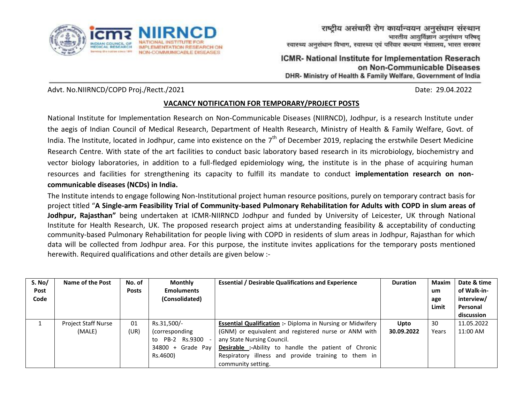

ICMR- National Institute for Implementation Reserach on Non-Communicable Diseases DHR- Ministry of Health & Family Welfare, Government of India

Advt. No.NIIRNCD/COPD Proj./Rectt./2021 Date: 29.04.2022

## **VACANCY NOTIFICATION FOR TEMPORARY/PROJECT POSTS**

National Institute for Implementation Research on Non-Communicable Diseases (NIIRNCD), Jodhpur, is a research Institute under the aegis of Indian Council of Medical Research, Department of Health Research, Ministry of Health & Family Welfare, Govt. of India. The Institute, located in Jodhpur, came into existence on the 7<sup>th</sup> of December 2019, replacing the erstwhile Desert Medicine Research Centre. With state of the art facilities to conduct basic laboratory based research in its microbiology, biochemistry and vector biology laboratories, in addition to a full-fledged epidemiology wing, the institute is in the phase of acquiring human resources and facilities for strengthening its capacity to fulfill its mandate to conduct **implementation research on noncommunicable diseases (NCDs) in India.** 

The Institute intends to engage following Non-Institutional project human resource positions, purely on temporary contract basis for project titled "**A Single-arm Feasibility Trial of Community-based Pulmonary Rehabilitation for Adults with COPD in slum areas of Jodhpur, Rajasthan"** being undertaken at ICMR-NIIRNCD Jodhpur and funded by University of Leicester, UK through National Institute for Health Research, UK. The proposed research project aims at understanding feasibility & acceptability of conducting community-based Pulmonary Rehabilitation for people living with COPD in residents of slum areas in Jodhpur, Rajasthan for which data will be collected from Jodhpur area. For this purpose, the institute invites applications for the temporary posts mentioned herewith. Required qualifications and other details are given below :-

| S. No/<br>Post<br>Code | Name of the Post           | No. of<br><b>Posts</b> | <b>Monthly</b><br><b>Emoluments</b><br>(Consolidated) | <b>Essential / Desirable Qualifications and Experience</b>        | <b>Duration</b> | <b>Maxim</b><br>um<br>age<br>Limit | Date & time<br>of Walk-in-<br>interview/<br>Personal<br>discussion |
|------------------------|----------------------------|------------------------|-------------------------------------------------------|-------------------------------------------------------------------|-----------------|------------------------------------|--------------------------------------------------------------------|
|                        | <b>Project Staff Nurse</b> | 01                     | Rs.31,500/-                                           | <b>Essential Qualification :- Diploma in Nursing or Midwifery</b> | Upto            | 30                                 | 11.05.2022                                                         |
|                        | (MALE)                     | (UR)                   | (corresponding)                                       | (GNM) or equivalent and registered nurse or ANM with              | 30.09.2022      | Years                              | 11:00 AM                                                           |
|                        |                            |                        | Rs.9300<br>PB-2<br>to                                 | any State Nursing Council.                                        |                 |                                    |                                                                    |
|                        |                            |                        | $34800 +$<br>Grade Pay                                | <b>Desirable :-</b> Ability to handle the patient of Chronic      |                 |                                    |                                                                    |
|                        |                            |                        | Rs.4600)                                              | Respiratory illness and provide training to them in               |                 |                                    |                                                                    |
|                        |                            |                        |                                                       | community setting.                                                |                 |                                    |                                                                    |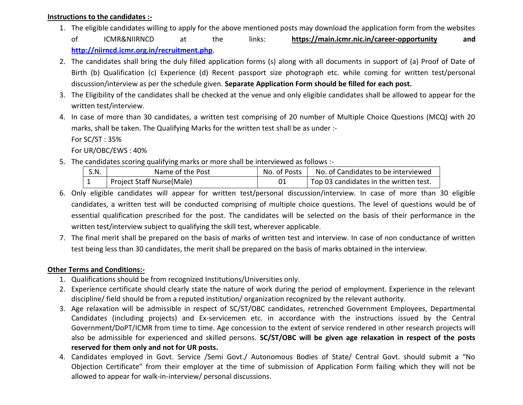#### **Instructions to the candidates :-**

1. The eligible candidates willing to apply for the above mentioned posts may download the application form from the websites of ICMR&NIIRNCD at the links: **https://main.icmr.nic.in/career-opportunity and** 

**<http://niirncd.icmr.org.in/recruitment.php>**.

- 2. The candidates shall bring the duly filled application forms (s) along with all documents in support of (a) Proof of Date of Birth (b) Qualification (c) Experience (d) Recent passport size photograph etc. while coming for written test/personal discussion/interview as per the schedule given. **Separate Application Form should be filled for each post.**
- 3. The Eligibility of the candidates shall be checked at the venue and only eligible candidates shall be allowed to appear for the written test/interview.
- 4. In case of more than 30 candidates, a written test comprising of 20 number of Multiple Choice Questions (MCQ) with 20 marks, shall be taken. The Qualifying Marks for the written test shall be as under :-

For SC/ST : 35%

For UR/OBC/EWS : 40%

5. The candidates scoring qualifying marks or more shall be interviewed as follows :-

| S.N. | Name of the Post          | No. of Posts | No. of Candidates to be interviewed                 |
|------|---------------------------|--------------|-----------------------------------------------------|
|      | Project Staff Nurse(Male) |              | <sup>1</sup> Top 03 candidates in the written test. |

- 6. Only eligible candidates will appear for written test/personal discussion/interview. In case of more than 30 eligible candidates, a written test will be conducted comprising of multiple choice questions. The level of questions would be of essential qualification prescribed for the post. The candidates will be selected on the basis of their performance in the written test/interview subject to qualifying the skill test, wherever applicable.
- 7. The final merit shall be prepared on the basis of marks of written test and interview. In case of non conductance of written test being less than 30 candidates, the merit shall be prepared on the basis of marks obtained in the interview.

## **Other Terms and Conditions:-**

- 1. Qualifications should be from recognized Institutions/Universities only.
- 2. Experience certificate should clearly state the nature of work during the period of employment. Experience in the relevant discipline/ field should be from a reputed institution/ organization recognized by the relevant authority.
- 3. Age relaxation will be admissible in respect of SC/ST/OBC candidates, retrenched Government Employees, Departmental Candidates (including projects) and Ex-servicemen etc. in accordance with the instructions issued by the Central Government/DoPT/ICMR from time to time. Age concession to the extent of service rendered in other research projects will also be admissible for experienced and skilled persons. **SC/ST/OBC will be given age relaxation in respect of the posts reserved for them only and not for UR posts.**
- 4. Candidates employed in Govt. Service /Semi Govt./ Autonomous Bodies of State/ Central Govt. should submit a "No Objection Certificate" from their employer at the time of submission of Application Form failing which they will not be allowed to appear for walk-in-interview/ personal discussions.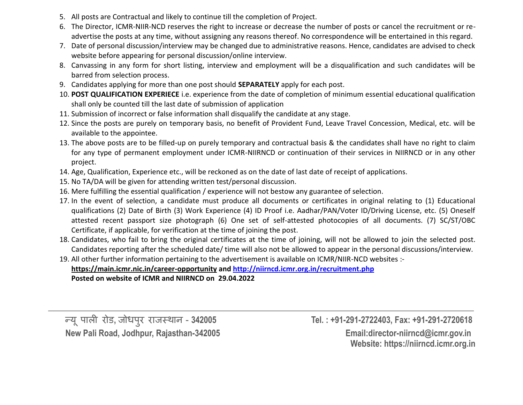- 5. All posts are Contractual and likely to continue till the completion of Project.
- 6. The Director, ICMR-NIIR-NCD reserves the right to increase or decrease the number of posts or cancel the recruitment or readvertise the posts at any time, without assigning any reasons thereof. No correspondence will be entertained in this regard.
- 7. Date of personal discussion/interview may be changed due to administrative reasons. Hence, candidates are advised to check website before appearing for personal discussion/online interview.
- 8. Canvassing in any form for short listing, interview and employment will be a disqualification and such candidates will be barred from selection process.
- 9. Candidates applying for more than one post should **SEPARATELY** apply for each post.
- 10. **POST QUALIFICATION EXPERIECE** i.e. experience from the date of completion of minimum essential educational qualification shall only be counted till the last date of submission of application
- 11. Submission of incorrect or false information shall disqualify the candidate at any stage.
- 12. Since the posts are purely on temporary basis, no benefit of Provident Fund, Leave Travel Concession, Medical, etc. will be available to the appointee.
- 13. The above posts are to be filled-up on purely temporary and contractual basis & the candidates shall have no right to claim for any type of permanent employment under ICMR-NIIRNCD or continuation of their services in NIIRNCD or in any other project.
- 14. Age, Qualification, Experience etc., will be reckoned as on the date of last date of receipt of applications.
- 15. No TA/DA will be given for attending written test/personal discussion.
- 16. Mere fulfilling the essential qualification / experience will not bestow any guarantee of selection.
- 17. In the event of selection, a candidate must produce all documents or certificates in original relating to (1) Educational qualifications (2) Date of Birth (3) Work Experience (4) ID Proof i.e. Aadhar/PAN/Voter ID/Driving License, etc. (5) Oneself attested recent passport size photograph (6) One set of self-attested photocopies of all documents. (7) SC/ST/OBC Certificate, if applicable, for verification at the time of joining the post.
- 18. Candidates, who fail to bring the original certificates at the time of joining, will not be allowed to join the selected post. Candidates reporting after the scheduled date/ time will also not be allowed to appear in the personal discussions/interview.
- 19. All other further information pertaining to the advertisement is available on ICMR/NIIR-NCD websites : **https://main.icmr.nic.in/career-opportunity an[d http://niirncd.icmr.org.in/recruitment.php](http://niirncd.icmr.org.in/recruitment.php) Posted on website of ICMR and NIIRNCD on 29.04.2022**

**New Pali Road, Jodhpur, Rajasthan-342005 Email:director-niirncd@icmr.gov.in** 

न्य ू पाली रोड**,** जोधपरु राजस्थान - **342005 Tel. : +91-291-2722403, Fax: +91-291-2720618 Website: https://niirncd.icmr.org.in**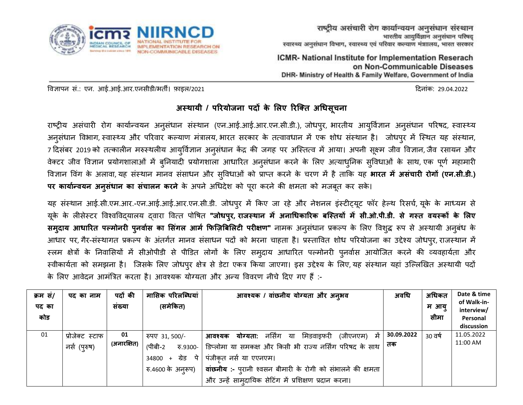

ICMR- National Institute for Implementation Reserach on Non-Communicable Diseases DHR- Ministry of Health & Family Welfare, Government of India

विज्ञापन सं.: एन. आई.आई.आर.एनसीडी/भर्ती। फाइल/2021 दिनांक: 29.04.2022

# **अस्थायी / परियोजना पदों के लिए रिक्ति अधिसूचना**

राष्ट्रीय असंचारी रोग कार्यान्वयन अनुसंधान संस्थान (एन.आई.आई.आर.एन.सी.डी.), जोधपुर, भारतीय आयुर्विज्ञान अनुसंधान परिषद, स्वास्थ्य अनुसंधान विभाग, स्वास्थ्य और परिवार कल्याण मंत्रालय, भारत सरकार के तत्वावधान में एक शोध संस्थान है। जोधपुर में स्थित यह संस्थान, 7 दिसंबर 2019 को तत्कालीन मरुस्थलीय आयुर्विज्ञान अनुसंधान केंद्र की जगह पर अस्तित्व में आया। अपनी सूक्ष्म जीव विज्ञान, जैव रसायन और वेक्टर जीव विज्ञान प्रयोगशालाओं में बुनियादी प्रयोगशाला आधारित अनुसंधान करने के लिए अत्याधुनिक सुविधाओं के साथ, एक पूर्ण महामारी विज्ञान विंग के अलावा, यह संस्थान मानव संसाधन और सविधाओं को प्राप्त करने के चरण में है ताकि यह **भारत में असंचारी रोगों (एन.सी.डी.) पि कायाान्वयन अनसु िं ान का सचं ािन किने** के अपने अधधिेश को परूा करने की क्षमर्ता को मजबर्तू कर सके।

यह संस्थान आई.सी.एम.आर.-एन.आई.आई.आर.एन.सी.डी. जोधपुर में किए जा रहे और नेशनल इंस्टीट्यूट फॉर हेल्थ रिसर्च, यूके के माध्यम से यूके के लीसेस्टर विश्वविद्यालय द्वारा वित्त पोषित **"जोधपुर, राजस्थान में अनाधिकारिक बस्तियों में सी.ओ.पी.डी. से <mark>गस्त वयस्कों के लिए</mark> समदुाय आिारिि पल्मोनिी पनु वाास का लसगं ि आमा फिक्िबबलिटी पिीक्षण"** नामक अनसु धं ान प्रकल्प के ललए विशद्धु रूप से अस्थायी अनबुधं के आधार पर, गैर-संस्थागत प्रकल्प के अंतर्गत मानव संसाधन पदों को भरना चाहता है। प्रस्तावित शोध परियोजना का उद्देश्य जोधपुर, राजस्थान में स्लम क्षेत्रों के निवासियों में सीओपीडी से पीडित लोगों के लिए समुदाय आधारित पल्मोनरी पुनर्वास आयोजित करने की व्यवहार्यता और स्वीकार्यता को समझना है। जिसके लिए जोधपुर क्षेत्र से डेटा एकत्र किया जाएगा। इस उद्देश्य के लिए,यह संस्थान यहां उल्लिखित अस्थायी पदों के लिए आवेदन आमंत्रित करता है। आवश्यक योग्यता और अन्य विवरण नीचे दिए गए हैं :-

| क्रम सं/ | पद का नाम       | पदों की     | मासिक परिलब्धियां        | आवश्यक / वांछनीय योग्यता और अनुभव                                        | अवधि       | अधिकत   | Date & time               |
|----------|-----------------|-------------|--------------------------|--------------------------------------------------------------------------|------------|---------|---------------------------|
| पद का    |                 | सख्या       | (समेकित)                 |                                                                          |            | म आयु   | of Walk-in-<br>interview/ |
| कोड      |                 |             |                          |                                                                          |            | सीमा    | Personal                  |
|          |                 |             |                          |                                                                          |            |         | discussion                |
| 01       | प्रोजेक्ट स्टाफ | 01          | रुपए 31, 500/-           | <b>योग्यता:</b> नर्सिंग या मिडवाइफरी<br>(जीएनएम) में  <br>आवश्यक         | 30.09.2022 | 30 वर्ष | 11.05.2022                |
|          | नर्स (पुरुष)    | (अनारक्षित) | (पीबी-2<br>रु.9300-      | डिप्लोमा या समकक्ष और किसी भी राज्य नर्सिंग परिषद के साथ   <sup>तक</sup> |            |         | 11:00 AM                  |
|          |                 |             | ग्रेड पे<br>34800<br>$+$ | पंजीकृत नर्स या एएनएम।                                                   |            |         |                           |
|          |                 |             | रु.4600 के अनूरूप)       | वांछनीय :- पुरानी श्वसन बीमारी के रोगी को संभालने की क्षमता              |            |         |                           |
|          |                 |             |                          | और उन्हें सामुदायिक सेटिंग में प्रशिक्षण प्रदान करना।                    |            |         |                           |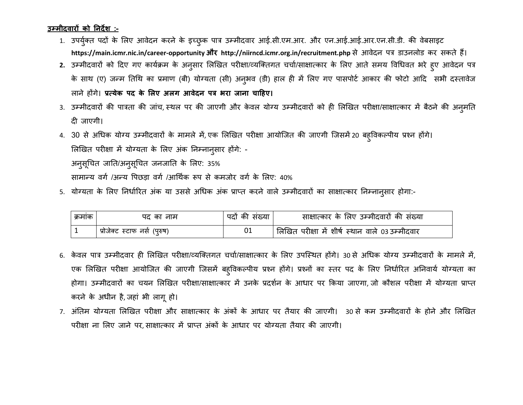### **उम्मीदवािों को ननदेश :-**

- 1. उपर्युक्त पदों के लिए आवेदन करने के इच्छुक पात्र उम्मीदवार आई.सी.एम.आर. और एन.आई.आई.आर.एन.सी.डी. की वेबसाइट **https://main.icmr.nic.in/career-opportunity औि http://niirncd.icmr.org.in/recruitment.php** से आिेिन पत्र डाउनलोड कर सकर्ते हैं।
- 2. उम्मीदवारों को दिए गए कार्यक्रम के अनुसार लिखित परीक्षा/व्यक्तिगत चर्चा/साक्षात्कार के लिए आते समय विधिवत भरे हुए आवेदन पत्र के साथ (ए) जन्म तिथि का प्रमाण (बी) योग्यता (सी) अन्अव (डी) हाल ही में लिए गए पासपोर्ट आकार की फोटो आदि सभी दस्तावेज लाने होंगे। **प्रत्येक पद के लिए अिग आवेदन पत्र भिा जाना चाहिए।**
- 3. उम्मीदवारों की पात्रता की जांच, स्थल पर की जाएगी और केवल योग्य उम्मीदवारों को ही लिखित परीक्षा/साक्षात्कार में बैठने की अनुमति िी जाएगी।
- 4. 30 से अधिक योग्य उम्मीदवारों के मामले में, एक लिखित परीक्षा आयोजित की जाएगी जिसमें 20 बहुविकल्पीय प्रश्न होंगे। लिखित परीक्षा में योग्यता के लिए अंक निम्नानुसार होंगे: -

अनुसूचित जाति/अनुसूचित जनजाति के लिए: 35%

सामान्य वर्ग /अन्य पिछडा वर्ग /आर्थिक रूप से कमजोर वर्ग के लिए: 40%

5. योग्यता के लिए निर्धारित अंक या उससे अधिक अंक प्राप्त करने वाले उम्मीदवारों का साक्षात्कार निम्नानुसार होगा:-

| क्रमाक | पद का नाम                    | पदा का संख्या | साक्षात्कार के लिए उम्मीदवारों की संख्या        |
|--------|------------------------------|---------------|-------------------------------------------------|
|        | प्रोजेक्ट स्टाफ नर्स (पुरुष) |               | लिखित परीक्षा में शीर्ष स्थान वाले 03 उम्मीदवार |

- 6. केवल पात्र उम्मीदवार ही लिखित परीक्षा/व्यक्तिगत चर्चा/साक्षात्कार के लिए उपस्थित होंगे। 30 से अधिक योग्य उम्मीदवारों के मामले में, एक लिखित परीक्षा आयोजित की जाएगी जिसमें बह्विकल्पीय प्रश्न होंगे। प्रश्नों का स्तर पद के लिए निर्धारित अनिवार्य योग्यता का होगा। उम्मीदवारों का चयन लिखित परीक्षा/साक्षात्कार में उनके प्रदर्शन के आधार पर किया जाएगा, जो कौशल परीक्षा में योग्यता प्राप्त करने के अधीन है, जहां भी लागूहो।
- 7. अंतिम योग्यता लिखित परीक्षा और साक्षात्कार के अंकों के आधार पर तैयार की जाएगी। 30 से कम उम्मीदवारों के होने और लिखित परीक्षा ना ललए जाने पर, साक्षात्कार में प्राप्र्त अंकों के आधार पर योग्यर्ता र्तैयार की जाएगी।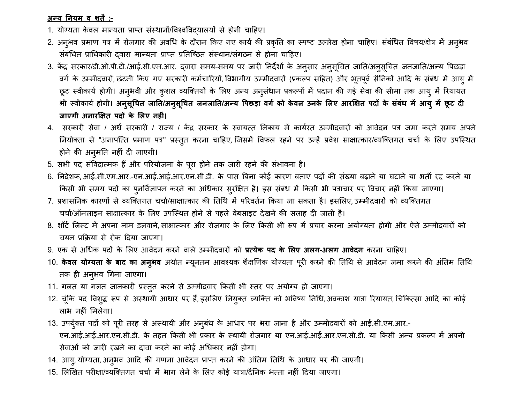## **अन्य ननयम व शिें :-**

- 1. योग्यता केवल मान्यता प्राप्त संस्थानों/विश्वविदयालयों से होनी चाहिए।
- 2. अनुभव प्रमाण पत्र में रोजगार की अवधि के दौरान किए गए कार्य की प्रकृति का स्पष्ट उल्लेख होना चाहिए। संबंधित विषय/क्षेत्र में अनुभव संबंधित प्राधिकारी दवारा मान्यता प्राप्त प्रतिष्ठित संस्थान/संगठन से होना चाहिए।
- 3. केंद्र सरकार/डी.ओ.पी.टी./आई.सी.एम.आर. द्वारा समय-समय पर जारी निर्देशों के अनुसार अनुसूचित जाति/अनुसूचित जनजाति/अन्य पिछड़ा वर्ग के उम्मीदवारों, छंटनी किए गए सरकारी कर्मचारियों, विभागीय उम्मीदवारों (प्रकल्प सहित) और भूतपूर्व सैनिकों आदि के संबंध में आयु में छूट स्वीकार्य होगी। अनुभवी और कुशल व्यक्तियों के लिए अन्य अनुसंधान प्रकल्पों में प्रदान की गई सेवा की सीमा तक आयु में रियायत भी स्वीकार्य होगी। अनुसूचित जाति/अनुसूचित जनजाति/अन्य पिछड़ा वर्ग को केवल उनके लिए आरक्षित पदों के संबंध में आयु में छूट दी **जाएगी अनािक्षक्षि पदों के लिए निीं।**
- 4. सरकारी सेवा / अर्ध सरकारी / राज्य / केंद्र सरकार के स्वायत्त निकाय में कार्यरत उम्मीदवारों को आवेदन पत्र जमा करते समय अपने नियोक्ता से "अनापत्ति प्रमाण पत्र" प्रस्तुत करना चाहिए, जिसमें विफल रहने पर उन्हें प्रवेश साक्षात्कार/व्यक्तिगत चर्चा के लिए उपस्थित होने की अनुमति नहीं दी जाएगी।
- 5. सभी पद संविदात्मक हैं और परियोजना के पूरा होने तक जारी रहने की संभावना है।
- 6. ननिेशक, आई.सी.एम.आर.-एन.आई.आई.आर.एन.सी.डी. के पास त्रबना कोई कारण बर्ताए पिों की संख्या बढाने या घटाने या भर्ती रद्द करने या किसी भी समय पदों का पुनर्विज्ञापन करने का अधिकार सुरक्षित है। इस संबंध में किसी भी पत्राचार पर विचार नहीं किया जाएगा।
- 7. प्रशासनिक कारणों से व्यक्तिगत चर्चा/साक्षात्कार की तिथि में परिवर्तन किया जा सकता है। इसलिए, उम्मीदवारों को व्यक्तिगत चर्चा/ऑनलाइन साक्षात्कार के लिए उपस्थित होने से पहले वेबसाइट देखने की सलाह दी जाती है।
- 8. शॉर्ट लिस्ट में अपना नाम डलवाने, साक्षात्कार और रोजगार के लिए किसी भी रूप में प्रचार करना अयोग्यता होगी और ऐसे उम्मीदवारों को चयन प्रकक्रया से रोक दिया जाएगा।
- 9. एक से अधिक पदों के लिए आवेदन करने वाले उम्मीदवारों को **प्रत्येक पद के लिए अलग-अलग आवेदन** करना चाहिए।
- 10. **केवल योग्यता के बाद का अन्<b>भ**व अर्थात न्यूनतम आवश्यक शैक्षणिक योग्यता पूरी करने की तिथि से आवेदन जमा करने की अंतिम तिथि तक ही अनुभव गिना जाएगा।
- 11. गलत या गलत जानकारी प्रस्तुत करने से उम्मीदवार किसी भी स्तर पर अयोग्य हो जाएगा।
- 12. चूंकि पद विशुद्ध रूप से अस्थायी आधार पर हैं, इसलिए नियुक्त व्यक्ति को भविष्य निधि, अवकाश यात्रा रियायत, चिकित्सा आदि का कोई लाभ नहीं मिलेगा।
- 13. उपर्युक्त पदों को पूरी तरह से अस्थायी और अनुबंध के आधार पर भरा जाना है और उम्मीदवारों को आई.सी.एम.आर.-एन.आई.आई.आर.एन.सी.डी. के र्तहर्त ककसी भी प्रकार के स्थायी रोजगार या एन.आई.आई.आर.एन.सी.डी. या ककसी अन्य प्रकल्प में अपनी सेवाओं को जारी रखने का दावा करने का कोई अधिकार नहीं होगा।
- 14. आयु, योग्यता, अनुभव आदि की गणना आवेदन प्राप्त करने की अंतिम तिथि के आधार पर की जाएगी।
- 15. ललखिर्त परीक्षा/व्यस्क्र्तगर्त चचाा में भाग लेने के ललए कोई यात्रा/िैननक भत्र्ता नहीं दिया जाएगा।